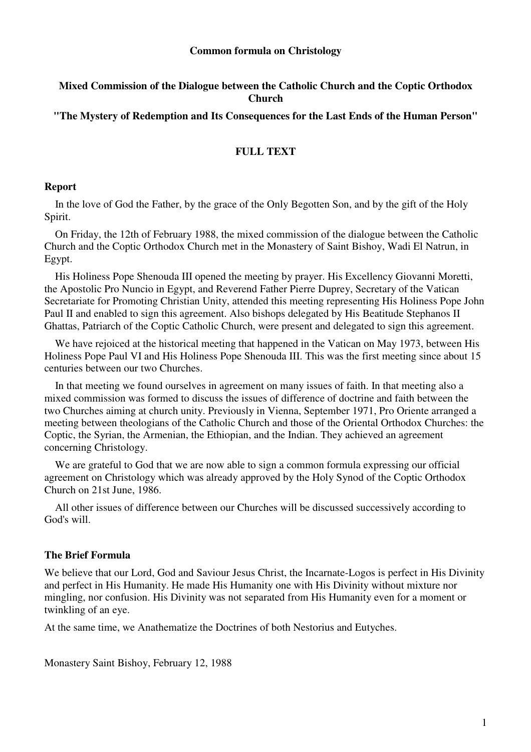### **Common formula on Christology**

# **Mixed Commission of the Dialogue between the Catholic Church and the Coptic Orthodox Church**

**"The Mystery of Redemption and Its Consequences for the Last Ends of the Human Person"** 

# **FULL TEXT**

#### **Report**

 In the love of God the Father, by the grace of the Only Begotten Son, and by the gift of the Holy Spirit.

 On Friday, the 12th of February 1988, the mixed commission of the dialogue between the Catholic Church and the Coptic Orthodox Church met in the Monastery of Saint Bishoy, Wadi El Natrun, in Egypt.

 His Holiness Pope Shenouda III opened the meeting by prayer. His Excellency Giovanni Moretti, the Apostolic Pro Nuncio in Egypt, and Reverend Father Pierre Duprey, Secretary of the Vatican Secretariate for Promoting Christian Unity, attended this meeting representing His Holiness Pope John Paul II and enabled to sign this agreement. Also bishops delegated by His Beatitude Stephanos II Ghattas, Patriarch of the Coptic Catholic Church, were present and delegated to sign this agreement.

 We have rejoiced at the historical meeting that happened in the Vatican on May 1973, between His Holiness Pope Paul VI and His Holiness Pope Shenouda III. This was the first meeting since about 15 centuries between our two Churches.

 In that meeting we found ourselves in agreement on many issues of faith. In that meeting also a mixed commission was formed to discuss the issues of difference of doctrine and faith between the two Churches aiming at church unity. Previously in Vienna, September 1971, Pro Oriente arranged a meeting between theologians of the Catholic Church and those of the Oriental Orthodox Churches: the Coptic, the Syrian, the Armenian, the Ethiopian, and the Indian. They achieved an agreement concerning Christology.

We are grateful to God that we are now able to sign a common formula expressing our official agreement on Christology which was already approved by the Holy Synod of the Coptic Orthodox Church on 21st June, 1986.

 All other issues of difference between our Churches will be discussed successively according to God's will.

## **The Brief Formula**

We believe that our Lord, God and Saviour Jesus Christ, the Incarnate-Logos is perfect in His Divinity and perfect in His Humanity. He made His Humanity one with His Divinity without mixture nor mingling, nor confusion. His Divinity was not separated from His Humanity even for a moment or twinkling of an eye.

At the same time, we Anathematize the Doctrines of both Nestorius and Eutyches.

Monastery Saint Bishoy, February 12, 1988